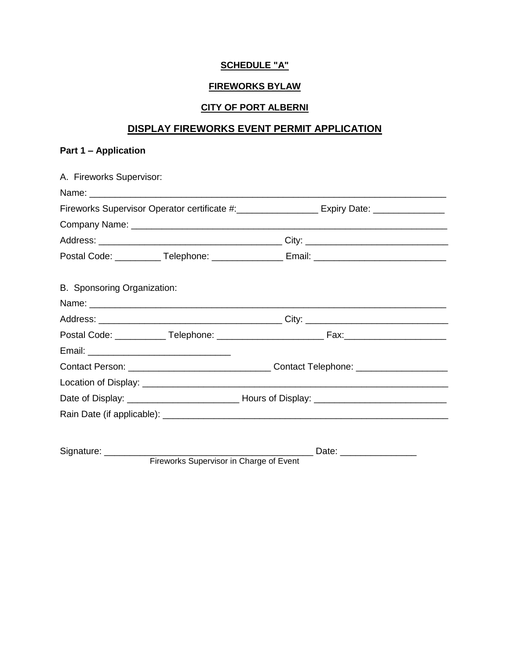# **SCHEDULE "A"**

## **FIREWORKS BYLAW**

# **CITY OF PORT ALBERNI**

# **DISPLAY FIREWORKS EVENT PERMIT APPLICATION**

## **Part 1 – Application**

| A. Fireworks Supervisor:    |                                                                                              |
|-----------------------------|----------------------------------------------------------------------------------------------|
|                             |                                                                                              |
|                             | Fireworks Supervisor Operator certificate #:___________________ Expiry Date: _______________ |
|                             |                                                                                              |
|                             |                                                                                              |
|                             | Postal Code: ___________ Telephone: _________________ Email: ____________________            |
| B. Sponsoring Organization: |                                                                                              |
|                             |                                                                                              |
|                             |                                                                                              |
|                             |                                                                                              |
|                             |                                                                                              |
|                             |                                                                                              |
|                             |                                                                                              |
|                             |                                                                                              |
|                             |                                                                                              |
| Signature: _________        |                                                                                              |

Fireworks Supervisor in Charge of Event